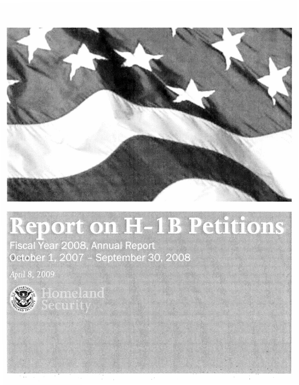

# Report on H-1B Petitions

Fiscal Year 2008, Annual Report<br>October 1, 2007 - September 30, 2008

April 8, 2009



Homeland<br>Security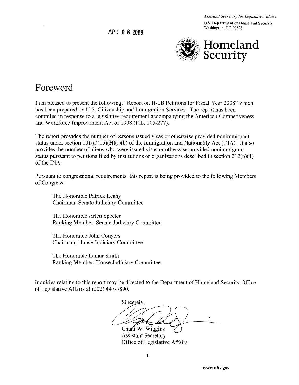*Assistant Secretary for Legislative Affairs* 

U.S. Department of Homeland Security Washington, DC 20528

APR 0 **8 2009** 



#### **Foreword**

I am pleased to present the following, "Report on H-1B Petitions for Fiscal Year 2008" which has been prepared by U.S. Citizenship and Immigration Services. The report has been compiled in response to a legislative requirement accompanying the American Competiveness and Workforce Improvement Act of 1998 (P.L. 105-277).

The report provides the number of persons issued visas or otherwise provided nonimmigrant status under section  $101(a)(15)(H)(i)(b)$  of the Immigration and Nationality Act (INA). It also provides the number of aliens who were issued visas or otherwise provided nonimmigrant status pursuant to petitions filed by institutions or organizations described in section  $212(p)(1)$ of the INA.

Pursuant to congressional requirements, this report is being provided to the following Members of Congress:

The Honorable Patrick Leahy Chairman, Senate Judiciary Committee

The Honorable Arlen Specter Ranking Member, Senate Judiciary Committee

The Honorable John Conyers Chairman, House Judiciary Committee

The Honorable Lamar Smith Ranking Member, House Judiciary Committee

Inquiries relating to this report may be directed to the Department of Homeland Security Office of Legislative Affairs at (202) 447-5890.

Sincerely,

Chani W. Wiggins Assistant Secretary Office of Legislative Affairs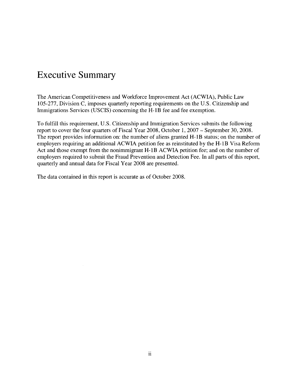## **Executive Summary**

The American Competitiveness and Workforce Improvement Act (ACWIA), Public Law 105-277, Division C, imposes quarterly reporting requirements on the U.S. Citizenship and Immigrations Services (USCIS) concerning the H-IB fee and fee exemption.

To fulfill this requirement, U.S. Citizenship and Immigration Services submits the following report to cover the four quarters of Fiscal Year 2008, October 1, 2007 - September 30, 2008. The report provides information on: the number of aliens granted H-IB status; on the number of employers requiring an additional ACWIA petition fee as reinstituted by the H-IB Visa Reform Act and those exempt from the nonimmigrant H-IB ACWIA petition fee; and on the number of employers required to submit the Fraud Prevention and Detection Fee. In all parts of this report, quarterly and annual data for Fiscal Year 2008 are presented.

The data contained in this report is accurate as of October 2008.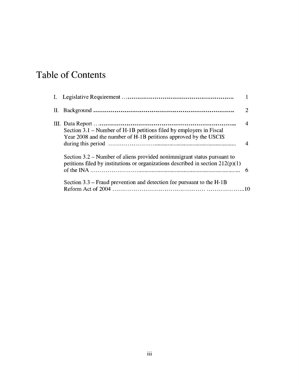# **Table of Contents**

| Section 3.1 – Number of H-1B petitions filed by employers in Fiscal<br>Year 2008 and the number of H-1B petitions approved by the USCIS                      |  |
|--------------------------------------------------------------------------------------------------------------------------------------------------------------|--|
|                                                                                                                                                              |  |
| Section 3.2 – Number of aliens provided nonimmigrant status pursuant to<br>petitions filed by institutions or organizations described in section $212(p)(1)$ |  |
|                                                                                                                                                              |  |
| Section $3.3$ – Fraud prevention and detection fee pursuant to the H-1B                                                                                      |  |
|                                                                                                                                                              |  |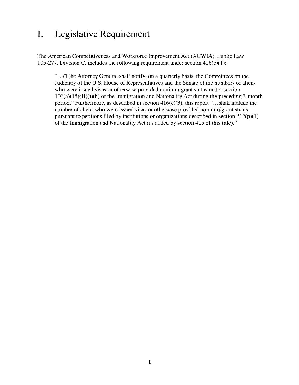## **I. Legislative Requirement**

The American Competitiveness and Workforce Improvement Act (ACWIA), Public Law 105-277, Division C, includes the following requirement under section  $416(c)(1)$ :

"...(T)he Attorney General shall notify, on a quarterly basis, the Committees on the Judiciary of the U.S. House of Representatives and the Senate of the numbers of aliens who were issued visas or otherwise provided nonimmigrant status under section 101(a)(15)(H)(i)(b) of the Immigration and Nationality Act during the preceding 3-month period." Furthermore, as described in section  $416(c)(3)$ , this report "...shall include the number of aliens who were issued visas or otherwise provided nonimmigrant status pursuant to petitions filed by institutions or organizations described in section  $212(p)(1)$ of the Immigration and Nationality Act (as added by section 415 of this title)."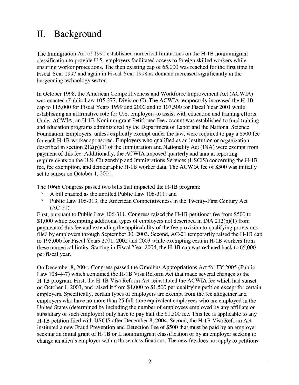## **II. Background**

The Immigration Act of 1990 established numerical limitations on the H-IB nonimmigrant classification to provide U.S. employers facilitated access to foreign skilled workers while ensuring worker protections. The then existing cap of 65,000 was reached for the first time in Fiscal Year 1997 and again in Fiscal Year 1998 as demand increased significantly in the burgeoning technology sector.

In October 1998, the American Competitiveness and Workforce Improvement Act (ACWIA) was enacted (Public Law 105-277, Division C). The ACWIA temporarily increased the H-IB cap to 115,000 for Fiscal Years 1999 and 2000 and to 107,500 for Fiscal Year 2001 while establishing an affirmative role for U.S. employers to assist with education and training efforts. Under ACWIA, an H-IB Nonimmigrant Petitioner Fee account was established to fund training and education programs administered by the Department of Labor and the National Science Foundation. Employers, unless explicitly exempt under the law, were required to pay a \$500 fee for each H-IB worker sponsored. Employers who qualified as an institution or organization described in section 212(p)(1) of the Immigration and Nationality Act (INA) were exempt from payment of this fee. Additionally, the ACWIA imposed quarterly and annual reporting requirements on the U.S. Citizenship and Immigrations Services (USCIS) concerning the H-IB fee, fee exemption, and demographic H-IB worker data. The ACWIA fee of \$500 was initially set to sunset on October 1, 2001.

The 106th Congress passed two bills that impacted the H-IB program:

- A bill enacted as the untitled Public Law 106-311; and
- $^{\circ}$  Public Law 106-313, the American Competitiveness in the Twenty-First Century Act (AC-21).

First, pursuant to Public Law 106-311, Congress raised the H-IB petitioner fee from \$500 to \$1,000 while exempting additional types of employers not described in INA 212(p)(1) from payment of this fee and extending the applicability of the fee provision to qualifying provisions filed by employers through September 30,2003. Second, AC-21 temporarily raised the H-IB cap to 195,000 for Fiscal Years 2001, 2002 and 2003 while exempting certain H-IB workers from these numerical limits. Starting in Fiscal Year 2004, the H-IB cap was reduced back to 65,000 per fiscal year.

On December 8, 2004, Congress passed the Omnibus Appropriations Act for FY 2005 (Public Law 108-447) which contained the H-IB Visa Reform Act that made several changes to the H-IB program. First, the H-IB Visa Reform Act reinstituted the ACWIA fee which had sunset on October 1, 2003, and raised it from \$1,000 to \$1,500 per qualifying petition except for certain employers. Specifically, certain types of employers are exempt from the fee altogether and employers who have no more than 25 full-time equivalent employees who are employed in the United States (determined by including the number of employees employed by any affiliate or subsidiary of such employer) only have to pay half the \$1,500 fee. This fee is applicable to any H-IB petition filed with USCIS after December 8,2004. Second, the H-IB Visa Reform Act instituted a new Fraud Prevention and Detection Fee of \$500 that must be paid by an employer seeking an initial grant of H-IB or L nonimmigrant classification or by an employer seeking to change an alien's employer within those classifications. The new fee does not apply to petitions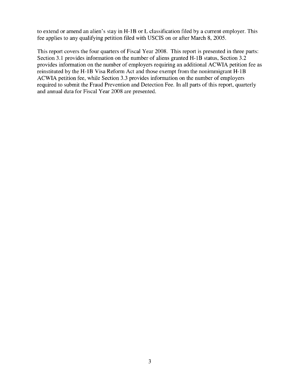to extend or amend an alien's stay in H-1B or L classification filed by a current employer. This fee applies to any qualifying petition filed with USCIS on or after March 8, 2005.

This report covers the four quarters of Fiscal Year 2008. This report is presented in three parts: Section 3.1 provides information on the number of aliens granted H-1B status, Section 3.2 provides information on the number of employers requiring an additional ACWIA petition fee as reinstituted by the H-1B Visa Reform Act and those exempt from the nonimmigrant H-1B ACWIA petition fee, while Section 3.3 provides information on the number of employers required to submit the Fraud Prevention and Detection Fee. In all parts of this report, quarterly and annual data for Fiscal Year 2008 are presented.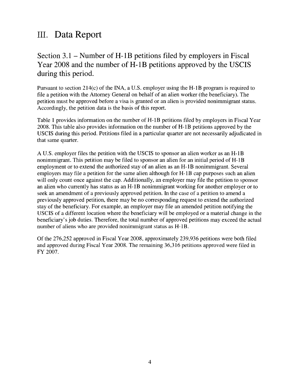### III. Data Report

#### Section 3.1 - Number of H-IB petitions filed by employers in Fiscal Year 2008 and the number of H-1B petitions approved by the USCIS during this period.

Pursuant to section 214(c) of the INA, a U.S. employer using the H-1B program is required to file a petition with the Attorney General on behalf of an alien worker (the beneficiary). The petition must be approved before a visa is granted or an alien is provided nonimmigrant status. Accordingly, the petition data is the basis of this report.

Table 1 provides information on the number of H-1B petitions filed by employers in Fiscal Year 2008. This table also provides information on the number of H-1B petitions approved by the USCIS during this period. Petitions filed in a particular quarter are not necessarily adjudicated in that same quarter.

A U.S. employer files the petition with the USCIS to sponsor an alien worker as an H-1B nonimmigrant. This petition may be filed to sponsor an alien for an initial period of H-1B employment or to extend the authorized stay of an alien as an H-1B nonimmigrant. Several employers may file a petition for the same alien although for H-1B cap purposes such an alien will only count once against the cap. Additionally, an employer may file the petition to sponsor an alien who currently has status as an H-1B nonimmigrant working for another employer or to seek an amendment of a previously approved petition. In the case of a petition to amend a previously approved petition, there may be no corresponding request to extend the authorized stay of the beneficiary. For example, an employer may file an amended petition notifying the USCIS of a different location where the beneficiary will be employed or a material change in the beneficiary's job duties. Therefore, the total number of approved petitions may exceed the actual number of aliens who are provided nonimmigrant status as H-1B.

Of the 276,252 approved in Fiscal Year 2008, approximately 239,936 petitions were both filed and approved during Fiscal Year 2008. The remaining 36,316 petitions approved were filed in FY 2007.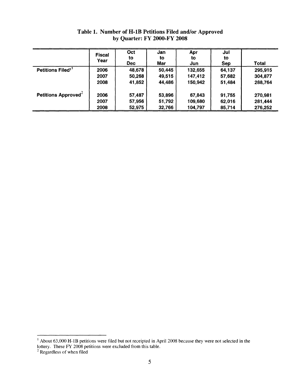|                               | <b>Fiscal</b><br>Year | Oct<br>to<br><b>Dec</b> | Jan<br>to<br>Mar | Apr<br>to<br>Jun | Jul<br>to<br><b>Sep</b> | <b>Total</b> |
|-------------------------------|-----------------------|-------------------------|------------------|------------------|-------------------------|--------------|
| Petitions Filed <sup>11</sup> | 2006                  | 48,678                  | 50,445           | 132,655          | 64,137                  | 295,915      |
|                               | 2007                  | 50,268                  | 49,515           | 147,412          | 57,682                  | 304,877      |
|                               | 2008                  | 41,852                  | 44,486           | 150,942          | 51,484                  | 288,764      |
| Petitions Approved $2$        | 2006                  | 57,487                  | 53,896           | 67,843           | 91,755                  | 270,981      |
|                               | 2007                  | 57,956                  | 51,792           | 109,680          | 62,016                  | 281,444      |
|                               | 2008                  | 52,975                  | 32,766           | 104,797          | 85,714                  | 276,252      |

**Table 1. Number of H-IB Petitions Filed and/or Approved by Quarter: FY 2000-FY 2008** 

 $\rm I$  About 63,000 H-1B petitions were filed but not receipted in April 2008 because they were not selected in the lottery. These FY 2008 petitions were excluded from this table.

<sup>&</sup>lt;sup>2</sup> Regardless of when filed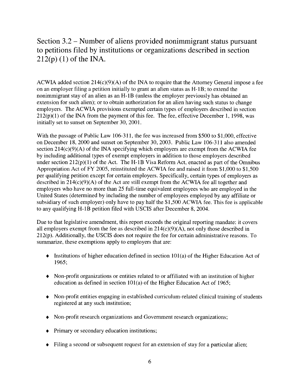Section 3.2 - Number of aliens provided nonimmigrant status pursuant to petitions filed by institutions or organizations described in section  $212(p)$  (1) of the INA.

ACWIA added section  $214(c)(9)(A)$  of the INA to require that the Attorney General impose a fee on an employer filing a petition initially to grant an alien status as H-1B; to extend the nonimmigrant stay of an alien as an H-1B (unless the employer previously has obtained an extension for such alien); or to obtain authorization for an alien having such status to change employers. The ACWIA provisions exempted certain types of employers described in section  $212(p)(1)$  of the INA from the payment of this fee. The fee, effective December 1, 1998, was initially set to sunset on September 30,2001.

With the passage of Public Law 106-311, the fee was increased from \$500 to \$1,000, effective on December 18, 2000 and sunset on September 30, 2003. Public Law 106-311 also amended section  $214(c)(9)(A)$  of the INA specifying which employers are exempt from the ACWIA fee by including additional types of exempt employers in addition to those employers described under section  $212(p)(1)$  of the Act. The H-1B Visa Reform Act, enacted as part of the Omnibus Appropriation Act of FY 2005, reinstituted the ACWIA fee and raised it from \$1,000 to \$1,500 per qualifying petition except for certain employers. Specifically, certain types of employers as described in 214(c)(9)(A) of the Act are still exempt from the ACWIA fee all together and employers who have no more than 25 full-time equivalent employees who are employed in the United States (determined by including the number of employees employed by any affiliate or subsidiary of such employer) only have to pay half the \$1,500 ACWIA fee. This fee is applicable to any qualifying H-1B petition filed with USCIS after December 8, 2004.

Due to that legislative amendment, this report exceeds the original reporting mandate: it covers all employers exempt from the fee as described in 214(c)(9)(A), not only those described in 212(p). Additionally, the USCIS does not require the fee for certain administrative reasons. To summarize, these exemptions apply to employers that are:

- Institutions of higher education defined in section  $101(a)$  of the Higher Education Act of 1965;
- Non-profit organizations or entities related to or affiliated with an institution of higher education as defined in section 101(a) of the Higher Education Act of 1965;
- Non-profit entities engaging in established curriculum-related clinical training of students registered at any such institution;
- Non-profit research organizations and Government research organizations;
- Primary or secondary education institutions;
- Filing a second or subsequent request for an extension of stay for a particular alien;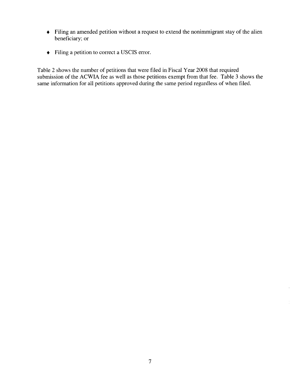- Filing an amended petition without a request to extend the nonimmigrant stay of the alien beneficiary; or
- Filing a petition to correct a USCIS error.

Table 2 shows the number of petitions that were filed in Fiscal Year 2008 that required submission of the ACWIA fee as well as those petitions exempt from that fee. Table 3 shows the same information for all petitions approved during the same period regardless of when filed.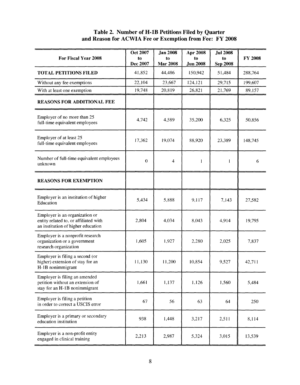#### **Table 2. Number of H·IB Petitions Filed by Quarter and Reason for ACWIA Fee or Exemption from Fee: FY 2008**

| For Fiscal Year 2008                                                                                          | Oct 2007<br>to<br>Dec 2007 | Jan $2008$<br>to<br><b>Mar 2008</b> | Apr 2008<br>to<br><b>Jun 2008</b> | <b>Jul 2008</b><br>to<br><b>Sep 2008</b> | <b>FY 2008</b> |
|---------------------------------------------------------------------------------------------------------------|----------------------------|-------------------------------------|-----------------------------------|------------------------------------------|----------------|
| <b>TOTAL PETITIONS FILED</b>                                                                                  | 41,852                     | 44,486                              | 150,942                           | 51,484                                   | 288,764        |
| Without any fee exemptions                                                                                    | 22,104                     | 23,667                              | 124,121                           | 29,715                                   | 199,607        |
| With at least one exemption                                                                                   | 19,748                     | 20,819                              | 26,821                            | 21,769                                   | 89,157         |
| <b>REASONS FOR ADDITIONAL FEE</b>                                                                             |                            |                                     |                                   |                                          |                |
| Employer of no more than 25<br>full-time equivalent employees                                                 | 4,742                      | 4,589                               | 35,200                            | 6,325                                    | 50,856         |
| Employer of at least 25<br>full-time equivalent employees                                                     | 17,362                     | 19,074                              | 88,920                            | 23,389                                   | 148,745        |
| Number of full-time equivalent employees<br>unknown                                                           | $\mathbf{0}$               | $\overline{4}$                      | 1                                 | 1                                        | 6              |
| <b>REASONS FOR EXEMPTION</b>                                                                                  |                            |                                     |                                   |                                          |                |
| Employer is an institution of higher<br>Education                                                             | 5,434                      | 5,888                               | 9,117                             | 7,143                                    | 27,582         |
| Employer is an organization or<br>entity related to, or affiliated with<br>an institution of higher education | 2,804                      | 4,034                               | 8,043                             | 4,914                                    | 19,795         |
| Employer is a nonprofit research<br>organization or a government<br>research organization                     | 1,605                      | 1,927                               | 2,280                             | 2,025                                    | 7,837          |
| Employer is filing a second (or<br>higher) extension of stay for an<br>H-1B nonimmigrant                      | 11,130                     | 11,200                              | 10,854                            | 9,527                                    | 42,711         |
| Employer is filing an amended<br>petition without an extension of<br>stay for an H-1B nonimmigrant            | 1,661                      | 1,137                               | 1,126                             | 1,560                                    | 5,484          |
| Employer is filing a petition<br>in order to correct a USCIS error                                            | 67                         | 56                                  | 63                                | 64                                       | 250            |
| Employer is a primary or secondary<br>education institution                                                   | 938                        | 1,448                               | 3,217                             | 2,511                                    | 8,114          |
| Employer is a non-profit entity<br>engaged in clinical training                                               | 2,213                      | 2,987                               | 5,324                             | 3,015                                    | 13,539         |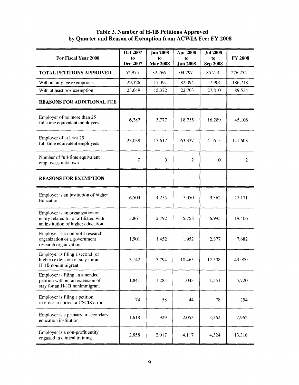#### **Table 3. Number of H-IB Petitions Approved by Quarter and Reason of Exemption from ACWIA Fee: FY 2008**

| <b>For Fiscal Year 2008</b>                                                                                   | <b>Oct 2007</b><br>to<br>Dec 2007 | <b>Jan 2008</b><br>to<br><b>Mar 2008</b> | Apr 2008<br>to<br><b>Jun 2008</b> | <b>Jul 2008</b><br>to<br>Sep 2008 | <b>FY 2008</b> |
|---------------------------------------------------------------------------------------------------------------|-----------------------------------|------------------------------------------|-----------------------------------|-----------------------------------|----------------|
| <b>TOTAL PETITIONS APPROVED</b>                                                                               | 52,975                            | 32,766                                   | 104,797                           | 85,714                            | 276,252        |
| Without any fee exemptions                                                                                    | 29,326                            | 17,394                                   | 82,094                            | 57,904                            | 186,718        |
| With at least one exemption                                                                                   | 23,649                            | 15,372                                   | 22,703                            | 27,810                            | 89,534         |
| <b>REASONS FOR ADDITIONAL FEE</b>                                                                             |                                   |                                          |                                   |                                   |                |
| Employer of no more than 25<br>full-time equivalent employees                                                 | 6,287                             | 3,777                                    | 18,755                            | 16,289                            | 45,108         |
| Employer of at least 25<br>full-time equivalent employees                                                     | 23,039                            | 13,617                                   | 63,337                            | 41,615                            | 141,608        |
| Number of full-time equivalent<br>employees unknown                                                           | $\overline{0}$                    | $\overline{0}$                           | $\overline{2}$                    | $\theta$                          | $\overline{c}$ |
| <b>REASONS FOR EXEMPTION</b>                                                                                  |                                   |                                          |                                   |                                   |                |
| Employer is an institution of higher<br>Education                                                             | 6,504                             | 4,255                                    | 7,050                             | 9,362                             | 27,171         |
| Employer is an organization or<br>entity related to, or affiliated with<br>an institution of higher education | 3,861                             | 2,792                                    | 5,758                             | 6,995                             | 19,406         |
| Employer is a nonprofit research<br>organization or a government<br>research organization                     | 1,901                             | 1,452                                    | 1,952                             | 2,377                             | 7,682          |
| Employer is filing a second (or<br>higher) extension of stay for an<br>H-1B nonimmigrant                      | 13,142                            | 7,794                                    | 10,465                            | 12,508                            | 43,909         |
| Employer is filing an amended<br>petition without an extension of<br>stay for an H-1B nonimmigrant            | 1,841                             | 1,285                                    | 1,043                             | 1,551                             | 5,720          |
| Employer is filing a petition<br>in order to correct a USCIS error                                            | 74                                | 58                                       | 44                                | 78                                | 254            |
| Employer is a primary or secondary<br>education institution                                                   | 1,618                             | 929                                      | 2,053                             | 3,362                             | 7,962          |
| Employer is a non-profit entity<br>engaged in clinical training                                               | 2,858                             | 2,017                                    | 4,117                             | 4,324                             | 13,316         |